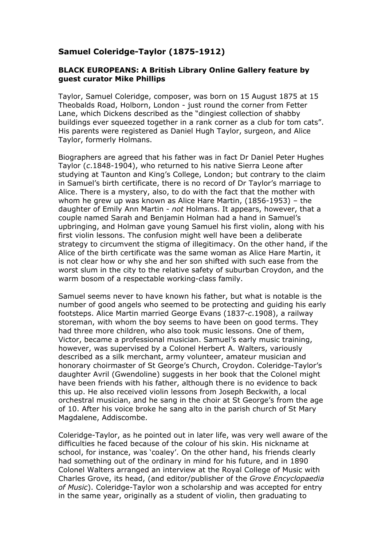## **Samuel Coleridge-Taylor (1875-1912)**

## **BLACK EUROPEANS: A British Library Online Gallery feature by guest curator Mike Phillips**

Taylor, Samuel Coleridge, composer, was born on 15 August 1875 at 15 Theobalds Road, Holborn, London - just round the corner from Fetter Lane, which Dickens described as the "dingiest collection of shabby buildings ever squeezed together in a rank corner as a club for tom cats". His parents were registered as Daniel Hugh Taylor, surgeon, and Alice Taylor, formerly Holmans.

Biographers are agreed that his father was in fact Dr Daniel Peter Hughes Taylor (*c*.1848-1904), who returned to his native Sierra Leone after studying at Taunton and King's College, London; but contrary to the claim in Samuel's birth certificate, there is no record of Dr Taylor's marriage to Alice. There is a mystery, also, to do with the fact that the mother with whom he grew up was known as Alice Hare Martin, (1856-1953) – the daughter of Emily Ann Martin - *not* Holmans. It appears, however, that a couple named Sarah and Benjamin Holman had a hand in Samuel's upbringing, and Holman gave young Samuel his first violin, along with his first violin lessons. The confusion might well have been a deliberate strategy to circumvent the stigma of illegitimacy. On the other hand, if the Alice of the birth certificate was the same woman as Alice Hare Martin, it is not clear how or why she and her son shifted with such ease from the worst slum in the city to the relative safety of suburban Croydon, and the warm bosom of a respectable working-class family.

Samuel seems never to have known his father, but what is notable is the number of good angels who seemed to be protecting and guiding his early footsteps. Alice Martin married George Evans (1837-*c*.1908), a railway storeman, with whom the boy seems to have been on good terms. They had three more children, who also took music lessons. One of them, Victor, became a professional musician. Samuel's early music training, however, was supervised by a Colonel Herbert A. Walters, variously described as a silk merchant, army volunteer, amateur musician and honorary choirmaster of St George's Church, Croydon. Coleridge-Taylor's daughter Avril (Gwendoline) suggests in her book that the Colonel might have been friends with his father, although there is no evidence to back this up. He also received violin lessons from Joseph Beckwith, a local orchestral musician, and he sang in the choir at St George's from the age of 10. After his voice broke he sang alto in the parish church of St Mary Magdalene, Addiscombe.

Coleridge-Taylor, as he pointed out in later life, was very well aware of the difficulties he faced because of the colour of his skin. His nickname at school, for instance, was 'coaley'. On the other hand, his friends clearly had something out of the ordinary in mind for his future, and in 1890 Colonel Walters arranged an interview at the Royal College of Music with Charles Grove, its head, (and editor/publisher of the *Grove Encyclopaedia of Music*). Coleridge-Taylor won a scholarship and was accepted for entry in the same year, originally as a student of violin, then graduating to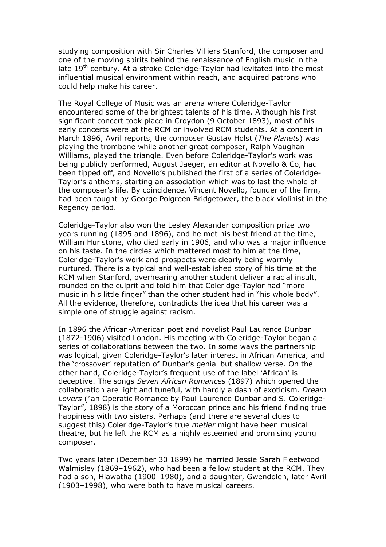studying composition with Sir Charles Villiers Stanford, the composer and one of the moving spirits behind the renaissance of English music in the late 19<sup>th</sup> century. At a stroke Coleridge-Taylor had levitated into the most influential musical environment within reach, and acquired patrons who could help make his career.

The Royal College of Music was an arena where Coleridge-Taylor encountered some of the brightest talents of his time. Although his first significant concert took place in Croydon (9 October 1893), most of his early concerts were at the RCM or involved RCM students. At a concert in March 1896, Avril reports, the composer Gustav Holst (*The Planets*) was playing the trombone while another great composer, Ralph Vaughan Williams, played the triangle. Even before Coleridge-Taylor's work was being publicly performed, August Jaeger, an editor at Novello & Co, had been tipped off, and Novello's published the first of a series of Coleridge-Taylor's anthems, starting an association which was to last the whole of the composer's life. By coincidence, Vincent Novello, founder of the firm, had been taught by George Polgreen Bridgetower, the black violinist in the Regency period.

Coleridge-Taylor also won the Lesley Alexander composition prize two years running (1895 and 1896), and he met his best friend at the time, William Hurlstone, who died early in 1906, and who was a major influence on his taste. In the circles which mattered most to him at the time, Coleridge-Taylor's work and prospects were clearly being warmly nurtured. There is a typical and well-established story of his time at the RCM when Stanford, overhearing another student deliver a racial insult, rounded on the culprit and told him that Coleridge-Taylor had "more music in his little finger" than the other student had in "his whole body". All the evidence, therefore, contradicts the idea that his career was a simple one of struggle against racism.

In 1896 the African-American poet and novelist Paul Laurence Dunbar (1872-1906) visited London. His meeting with Coleridge-Taylor began a series of collaborations between the two. In some ways the partnership was logical, given Coleridge-Taylor's later interest in African America, and the 'crossover' reputation of Dunbar's genial but shallow verse. On the other hand, Coleridge-Taylor's frequent use of the label 'African' is deceptive. The songs *Seven African Romances* (1897) which opened the collaboration are light and tuneful, with hardly a dash of exoticism. *Dream Lovers* ("an Operatic Romance by Paul Laurence Dunbar and S. Coleridge-Taylor", 1898) is the story of a Moroccan prince and his friend finding true happiness with two sisters. Perhaps (and there are several clues to suggest this) Coleridge-Taylor's true *metier* might have been musical theatre, but he left the RCM as a highly esteemed and promising young composer.

Two years later (December 30 1899) he married Jessie Sarah Fleetwood Walmisley (1869–1962), who had been a fellow student at the RCM. They had a son, Hiawatha (1900–1980), and a daughter, Gwendolen, later Avril (1903–1998), who were both to have musical careers.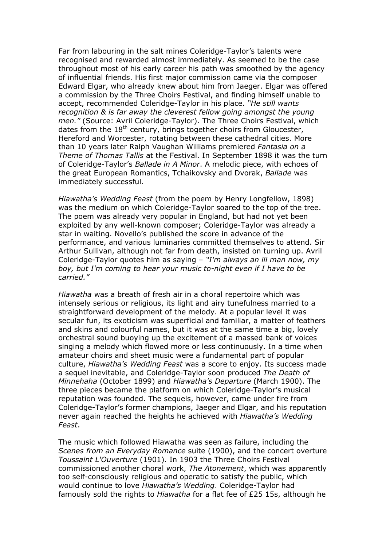Far from labouring in the salt mines Coleridge-Taylor's talents were recognised and rewarded almost immediately. As seemed to be the case throughout most of his early career his path was smoothed by the agency of influential friends. His first major commission came via the composer Edward Elgar, who already knew about him from Jaeger. Elgar was offered a commission by the Three Choirs Festival, and finding himself unable to accept, recommended Coleridge-Taylor in his place. *"He still wants recognition & is far away the cleverest fellow going amongst the young men."* (Source: Avril Coleridge-Taylor). The Three Choirs Festival, which dates from the  $18<sup>th</sup>$  century, brings together choirs from Gloucester, Hereford and Worcester, rotating between these cathedral cities. More than 10 years later Ralph Vaughan Williams premiered *Fantasia on a Theme of Thomas Tallis* at the Festival. In September 1898 it was the turn of Coleridge-Taylor's *Ballade in A Minor*. A melodic piece, with echoes of the great European Romantics, Tchaikovsky and Dvorak, *Ballade* was immediately successful.

*Hiawatha's Wedding Feast* (from the poem by Henry Longfellow, 1898) was the medium on which Coleridge-Taylor soared to the top of the tree. The poem was already very popular in England, but had not yet been exploited by any well-known composer; Coleridge-Taylor was already a star in waiting. Novello's published the score in advance of the performance, and various luminaries committed themselves to attend. Sir Arthur Sullivan, although not far from death, insisted on turning up. Avril Coleridge-Taylor quotes him as saying – *"I'm always an ill man now, my boy, but I'm coming to hear your music to-night even if I have to be carried."*

*Hiawatha* was a breath of fresh air in a choral repertoire which was intensely serious or religious, its light and airy tunefulness married to a straightforward development of the melody. At a popular level it was secular fun, its exoticism was superficial and familiar, a matter of feathers and skins and colourful names, but it was at the same time a big, lovely orchestral sound buoying up the excitement of a massed bank of voices singing a melody which flowed more or less continuously. In a time when amateur choirs and sheet music were a fundamental part of popular culture, *Hiawatha's Wedding Feast* was a score to enjoy. Its success made a sequel inevitable, and Coleridge-Taylor soon produced *The Death of Minnehaha* (October 1899) and *Hiawatha's Departure* (March 1900). The three pieces became the platform on which Coleridge-Taylor's musical reputation was founded. The sequels, however, came under fire from Coleridge-Taylor's former champions, Jaeger and Elgar, and his reputation never again reached the heights he achieved with *Hiawatha's Wedding Feast*.

The music which followed Hiawatha was seen as failure, including the *Scenes from an Everyday Romance* suite (1900), and the concert overture *Toussaint L'Ouverture* (1901). In 1903 the Three Choirs Festival commissioned another choral work, *The Atonement*, which was apparently too self-consciously religious and operatic to satisfy the public, which would continue to love *Hiawatha's Wedding*. Coleridge-Taylor had famously sold the rights to *Hiawatha* for a flat fee of £25 15s, although he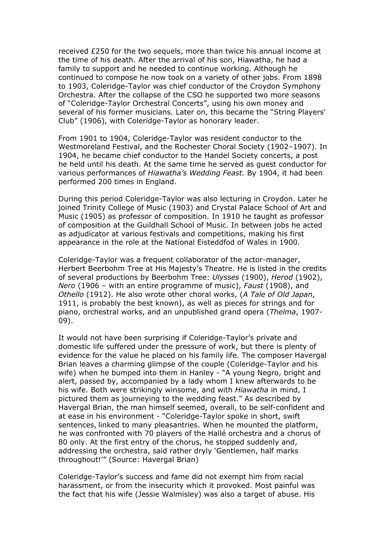received £250 for the two sequels, more than twice his annual income at the time of his death. After the arrival of his son, Hiawatha, he had a family to support and he needed to continue working. Although he continued to compose he now took on a variety of other jobs. From 1898 to 1903, Coleridge-Taylor was chief conductor of the Croydon Symphony Orchestra. After the collapse of the CSO he supported two more seasons of "Coleridge-Taylor Orchestral Concerts", using his own money and several of his former musicians. Later on, this became the "String Players' Club" (1906), with Coleridge-Taylor as honorary leader.

From 1901 to 1904, Coleridge-Taylor was resident conductor to the Westmoreland Festival, and the Rochester Choral Society (1902–1907). In 1904, he became chief conductor to the Handel Society concerts, a post he held until his death. At the same time he served as guest conductor for various performances of *Hiawatha's Wedding Feast.* By 1904, it had been performed 200 times in England.

During this period Coleridge-Taylor was also lecturing in Croydon. Later he joined Trinity College of Music (1903) and Crystal Palace School of Art and Music (1905) as professor of composition. In 1910 he taught as professor of composition at the Guildhall School of Music. In between jobs he acted as adjudicator at various festivals and competitions, making his first appearance in the role at the National Eisteddfod of Wales in 1900.

Coleridge-Taylor was a frequent collaborator of the actor-manager, Herbert Beerbohm Tree at His Majesty's Theatre. He is listed in the credits of several productions by Beerbohm Tree: *Ulysses* (1900), *Herod* (1902), *Nero* (1906 – with an entire programme of music), *Faust* (1908), and *Othello* (1912). He also wrote other choral works, (*A Tale of Old Japan*, 1911, is probably the best known), as well as pieces for strings and for piano, orchestral works, and an unpublished grand opera (*Thelma*, 1907- 09).

It would not have been surprising if Coleridge-Taylor's private and domestic life suffered under the pressure of work, but there is plenty of evidence for the value he placed on his family life. The composer Havergal Brian leaves a charming glimpse of the couple (Coleridge-Taylor and his wife) when he bumped into them in Hanley - "A young Negro, bright and alert, passed by, accompanied by a lady whom I knew afterwards to be his wife. Both were strikingly winsome, and with *Hiawatha* in mind, I pictured them as journeying to the wedding feast." As described by Havergal Brian, the man himself seemed, overall, to be self-confident and at ease in his environment - "Coleridge-Taylor spoke in short, swift sentences, linked to many pleasantries. When he mounted the platform, he was confronted with 70 players of the Hallé orchestra and a chorus of 80 only. At the first entry of the chorus, he stopped suddenly and, addressing the orchestra, said rather dryly 'Gentlemen, half marks throughout!'" (Source: Havergal Brian)

Coleridge-Taylor's success and fame did not exempt him from racial harassment, or from the insecurity which it provoked. Most painful was the fact that his wife (Jessie Walmisley) was also a target of abuse. His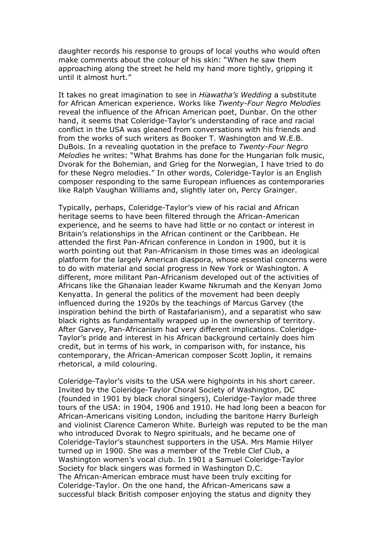daughter records his response to groups of local youths who would often make comments about the colour of his skin: "When he saw them approaching along the street he held my hand more tightly, gripping it until it almost hurt."

It takes no great imagination to see in *Hiawatha's Wedding* a substitute for African American experience. Works like *Twenty-Four Negro Melodies*  reveal the influence of the African American poet, Dunbar. On the other hand, it seems that Coleridge-Taylor's understanding of race and racial conflict in the USA was gleaned from conversations with his friends and from the works of such writers as Booker T. Washington and W.E.B. DuBois. In a revealing quotation in the preface to *Twenty-Four Negro Melodies* he writes: "What Brahms has done for the Hungarian folk music, Dvorak for the Bohemian, and Grieg for the Norwegian, I have tried to do for these Negro melodies." In other words, Coleridge-Taylor is an English composer responding to the same European influences as contemporaries like Ralph Vaughan Williams and, slightly later on, Percy Grainger.

Typically, perhaps, Coleridge-Taylor's view of his racial and African heritage seems to have been filtered through the African-American experience, and he seems to have had little or no contact or interest in Britain's relationships in the African continent or the Caribbean. He attended the first Pan-African conference in London in 1900, but it is worth pointing out that Pan-Africanism in those times was an ideological platform for the largely American diaspora, whose essential concerns were to do with material and social progress in New York or Washington. A different, more militant Pan-Africanism developed out of the activities of Africans like the Ghanaian leader Kwame Nkrumah and the Kenyan Jomo Kenyatta. In general the politics of the movement had been deeply influenced during the 1920s by the teachings of Marcus Garvey (the inspiration behind the birth of Rastafarianism), and a separatist who saw black rights as fundamentally wrapped up in the ownership of territory. After Garvey, Pan-Africanism had very different implications. Coleridge-Taylor's pride and interest in his African background certainly does him credit, but in terms of his work, in comparison with, for instance, his contemporary, the African-American composer Scott Joplin, it remains rhetorical, a mild colouring.

Coleridge-Taylor's visits to the USA were highpoints in his short career. Invited by the Coleridge-Taylor Choral Society of Washington, DC (founded in 1901 by black choral singers), Coleridge-Taylor made three tours of the USA: in 1904, 1906 and 1910. He had long been a beacon for African-Americans visiting London, including the baritone Harry Burleigh and violinist Clarence Cameron White. Burleigh was reputed to be the man who introduced Dvorak to Negro spirituals, and he became one of Coleridge-Taylor's staunchest supporters in the USA. Mrs Mamie Hilyer turned up in 1900. She was a member of the Treble Clef Club, a Washington women's vocal club. In 1901 a Samuel Coleridge-Taylor Society for black singers was formed in Washington D.C. The African-American embrace must have been truly exciting for Coleridge-Taylor. On the one hand, the African-Americans saw a successful black British composer enjoying the status and dignity they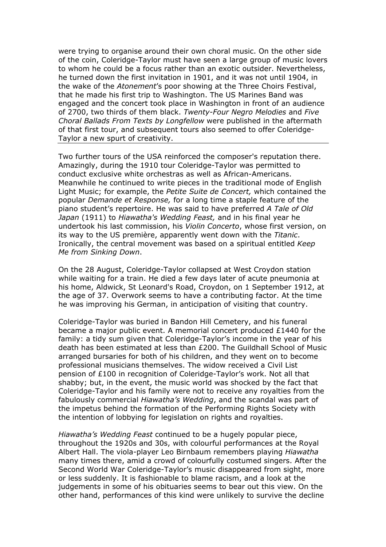were trying to organise around their own choral music. On the other side of the coin, Coleridge-Taylor must have seen a large group of music lovers to whom he could be a focus rather than an exotic outsider. Nevertheless, he turned down the first invitation in 1901, and it was not until 1904, in the wake of the *Atonement*'s poor showing at the Three Choirs Festival, that he made his first trip to Washington. The US Marines Band was engaged and the concert took place in Washington in front of an audience of 2700, two thirds of them black. *Twenty-Four Negro Melodies* and *Five Choral Ballads From Texts by Longfellow* were published in the aftermath of that first tour, and subsequent tours also seemed to offer Coleridge-Taylor a new spurt of creativity.

Two further tours of the USA reinforced the composer's reputation there. Amazingly, during the 1910 tour Coleridge-Taylor was permitted to conduct exclusive white orchestras as well as African-Americans. Meanwhile he continued to write pieces in the traditional mode of English Light Music; for example, the *Petite Suite de Concert,* which contained the popular *Demande et Response,* for a long time a staple feature of the piano student's repertoire. He was said to have preferred *A Tale of Old Japan* (1911) to *Hiawatha's Wedding Feast,* and in his final year he undertook his last commission, his *Violin Concerto*, whose first version, on its way to the US première, apparently went down with the *Titanic*. Ironically, the central movement was based on a spiritual entitled *Keep Me from Sinking Down*.

On the 28 August, Coleridge-Taylor collapsed at West Croydon station while waiting for a train. He died a few days later of acute pneumonia at his home, Aldwick, St Leonard's Road, Croydon, on 1 September 1912, at the age of 37. Overwork seems to have a contributing factor. At the time he was improving his German, in anticipation of visiting that country.

Coleridge-Taylor was buried in Bandon Hill Cemetery, and his funeral became a major public event. A memorial concert produced £1440 for the family: a tidy sum given that Coleridge-Taylor's income in the year of his death has been estimated at less than £200. The Guildhall School of Music arranged bursaries for both of his children, and they went on to become professional musicians themselves. The widow received a Civil List pension of £100 in recognition of Coleridge-Taylor's work. Not all that shabby; but, in the event, the music world was shocked by the fact that Coleridge-Taylor and his family were not to receive any royalties from the fabulously commercial *Hiawatha's Wedding*, and the scandal was part of the impetus behind the formation of the Performing Rights Society with the intention of lobbying for legislation on rights and royalties.

*Hiawatha's Wedding Feast* continued to be a hugely popular piece, throughout the 1920s and 30s, with colourful performances at the Royal Albert Hall. The viola-player Leo Birnbaum remembers playing *Hiawatha* many times there, amid a crowd of colourfully costumed singers. After the Second World War Coleridge-Taylor's music disappeared from sight, more or less suddenly. It is fashionable to blame racism, and a look at the judgements in some of his obituaries seems to bear out this view. On the other hand, performances of this kind were unlikely to survive the decline